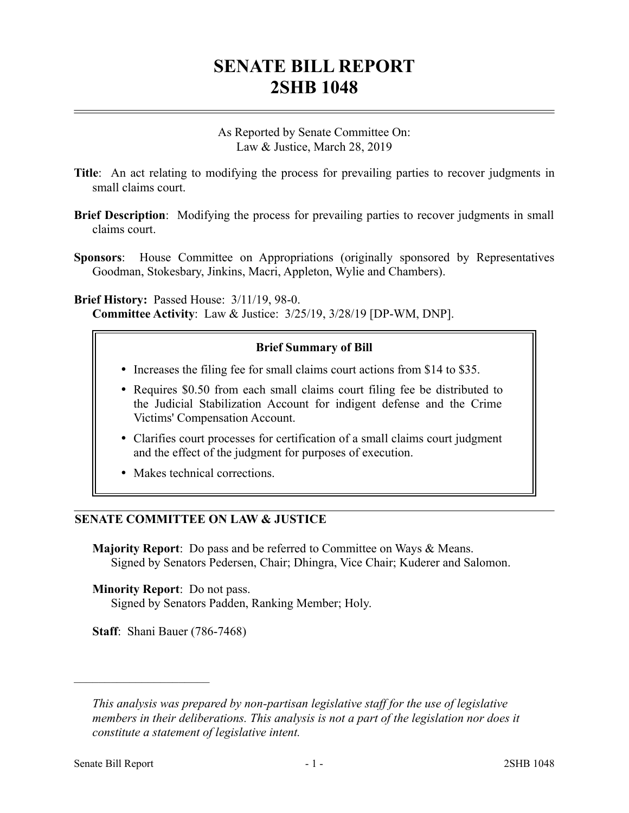## **SENATE BILL REPORT 2SHB 1048**

As Reported by Senate Committee On: Law & Justice, March 28, 2019

- **Title**: An act relating to modifying the process for prevailing parties to recover judgments in small claims court.
- **Brief Description**: Modifying the process for prevailing parties to recover judgments in small claims court.
- **Sponsors**: House Committee on Appropriations (originally sponsored by Representatives Goodman, Stokesbary, Jinkins, Macri, Appleton, Wylie and Chambers).

**Brief History:** Passed House: 3/11/19, 98-0. **Committee Activity**: Law & Justice: 3/25/19, 3/28/19 [DP-WM, DNP].

## **Brief Summary of Bill**

- Increases the filing fee for small claims court actions from \$14 to \$35.
- Requires \$0.50 from each small claims court filing fee be distributed to the Judicial Stabilization Account for indigent defense and the Crime Victims' Compensation Account.
- Clarifies court processes for certification of a small claims court judgment and the effect of the judgment for purposes of execution.
- Makes technical corrections.

## **SENATE COMMITTEE ON LAW & JUSTICE**

**Majority Report**: Do pass and be referred to Committee on Ways & Means. Signed by Senators Pedersen, Chair; Dhingra, Vice Chair; Kuderer and Salomon.

**Minority Report**: Do not pass. Signed by Senators Padden, Ranking Member; Holy.

**Staff**: Shani Bauer (786-7468)

––––––––––––––––––––––

*This analysis was prepared by non-partisan legislative staff for the use of legislative members in their deliberations. This analysis is not a part of the legislation nor does it constitute a statement of legislative intent.*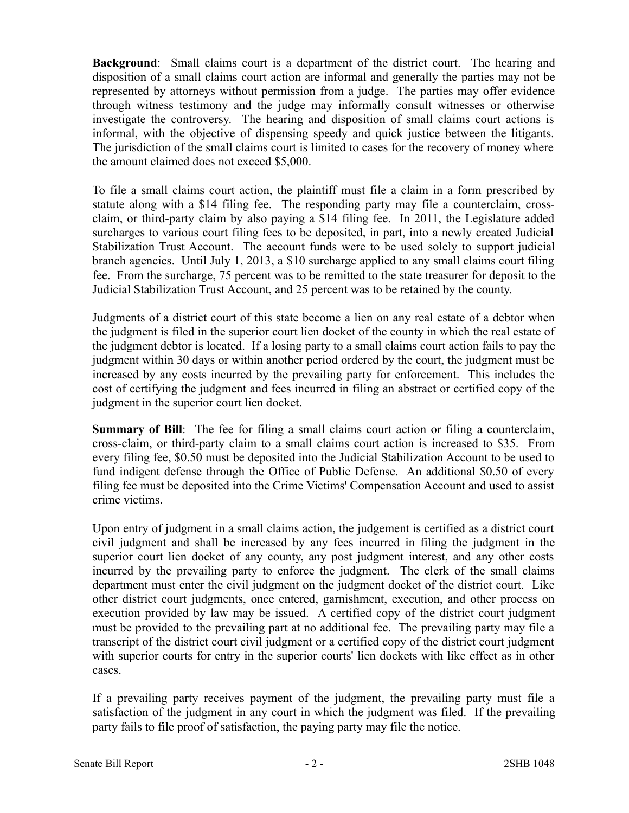**Background**: Small claims court is a department of the district court. The hearing and disposition of a small claims court action are informal and generally the parties may not be represented by attorneys without permission from a judge. The parties may offer evidence through witness testimony and the judge may informally consult witnesses or otherwise investigate the controversy. The hearing and disposition of small claims court actions is informal, with the objective of dispensing speedy and quick justice between the litigants. The jurisdiction of the small claims court is limited to cases for the recovery of money where the amount claimed does not exceed \$5,000.

To file a small claims court action, the plaintiff must file a claim in a form prescribed by statute along with a \$14 filing fee. The responding party may file a counterclaim, crossclaim, or third-party claim by also paying a \$14 filing fee. In 2011, the Legislature added surcharges to various court filing fees to be deposited, in part, into a newly created Judicial Stabilization Trust Account. The account funds were to be used solely to support judicial branch agencies. Until July 1, 2013, a \$10 surcharge applied to any small claims court filing fee. From the surcharge, 75 percent was to be remitted to the state treasurer for deposit to the Judicial Stabilization Trust Account, and 25 percent was to be retained by the county.

Judgments of a district court of this state become a lien on any real estate of a debtor when the judgment is filed in the superior court lien docket of the county in which the real estate of the judgment debtor is located. If a losing party to a small claims court action fails to pay the judgment within 30 days or within another period ordered by the court, the judgment must be increased by any costs incurred by the prevailing party for enforcement. This includes the cost of certifying the judgment and fees incurred in filing an abstract or certified copy of the judgment in the superior court lien docket.

**Summary of Bill**: The fee for filing a small claims court action or filing a counterclaim, cross-claim, or third-party claim to a small claims court action is increased to \$35. From every filing fee, \$0.50 must be deposited into the Judicial Stabilization Account to be used to fund indigent defense through the Office of Public Defense. An additional \$0.50 of every filing fee must be deposited into the Crime Victims' Compensation Account and used to assist crime victims.

Upon entry of judgment in a small claims action, the judgement is certified as a district court civil judgment and shall be increased by any fees incurred in filing the judgment in the superior court lien docket of any county, any post judgment interest, and any other costs incurred by the prevailing party to enforce the judgment. The clerk of the small claims department must enter the civil judgment on the judgment docket of the district court. Like other district court judgments, once entered, garnishment, execution, and other process on execution provided by law may be issued. A certified copy of the district court judgment must be provided to the prevailing part at no additional fee. The prevailing party may file a transcript of the district court civil judgment or a certified copy of the district court judgment with superior courts for entry in the superior courts' lien dockets with like effect as in other cases.

If a prevailing party receives payment of the judgment, the prevailing party must file a satisfaction of the judgment in any court in which the judgment was filed. If the prevailing party fails to file proof of satisfaction, the paying party may file the notice.